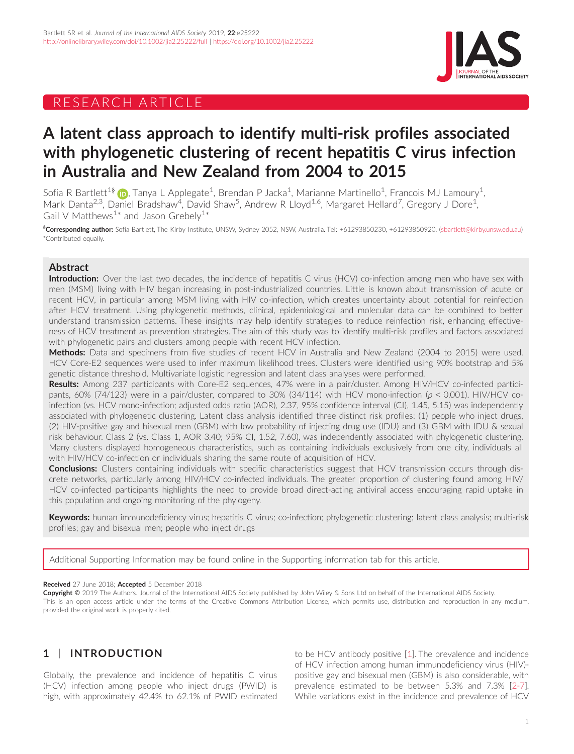# RESEARCH ARTICLE



# A latent class approach to identify multi-risk profiles associated with phylogenetic clustering of recent hepatitis C virus infection in Australia and New Zealand from 2004 to 2015

Sofia R Bartlett $^{18}$  (ip, Tanya L Applegate $^1$ , Brendan P Jacka $^1$ , Marianne Martinello $^1$ , Francois MJ Lamoury $^1$ , Mark Danta<sup>2,3</sup>, Daniel Bradshaw<sup>4</sup>, David Shaw<sup>5</sup>, Andrew R Lloyd<sup>1,6</sup>, Margaret Hellard<sup>7</sup>, Gregory J Dore<sup>1</sup> , Gail V Matthews<sup>1\*</sup> and Jason Grebely<sup>1\*</sup>

<sup>§</sup>Corresponding author: Sofia Bartlett, The Kirby Institute, UNSW, Sydney 2052, NSW, Australia. Tel: +61293850230, +61293850920. ([sbartlett@kirby.unsw.edu.au\)](mailto:sbartlett@kirby.unsw.edu.au) \*Contributed equally.

## Abstract

Introduction: Over the last two decades, the incidence of hepatitis C virus (HCV) co-infection among men who have sex with men (MSM) living with HIV began increasing in post-industrialized countries. Little is known about transmission of acute or recent HCV, in particular among MSM living with HIV co-infection, which creates uncertainty about potential for reinfection after HCV treatment. Using phylogenetic methods, clinical, epidemiological and molecular data can be combined to better understand transmission patterns. These insights may help identify strategies to reduce reinfection risk, enhancing effectiveness of HCV treatment as prevention strategies. The aim of this study was to identify multi-risk profiles and factors associated with phylogenetic pairs and clusters among people with recent HCV infection.

Methods: Data and specimens from five studies of recent HCV in Australia and New Zealand (2004 to 2015) were used. HCV Core-E2 sequences were used to infer maximum likelihood trees. Clusters were identified using 90% bootstrap and 5% genetic distance threshold. Multivariate logistic regression and latent class analyses were performed.

Results: Among 237 participants with Core-E2 sequences, 47% were in a pair/cluster. Among HIV/HCV co-infected participants, 60% (74/123) were in a pair/cluster, compared to 30% (34/114) with HCV mono-infection ( $p < 0.001$ ). HIV/HCV coinfection (vs. HCV mono-infection; adjusted odds ratio (AOR), 2.37, 95% confidence interval (CI), 1.45, 5.15) was independently associated with phylogenetic clustering. Latent class analysis identified three distinct risk profiles: (1) people who inject drugs, (2) HIV-positive gay and bisexual men (GBM) with low probability of injecting drug use (IDU) and (3) GBM with IDU & sexual risk behaviour. Class 2 (vs. Class 1, AOR 3.40; 95% CI, 1.52, 7.60), was independently associated with phylogenetic clustering. Many clusters displayed homogeneous characteristics, such as containing individuals exclusively from one city, individuals all with HIV/HCV co-infection or individuals sharing the same route of acquisition of HCV.

Conclusions: Clusters containing individuals with specific characteristics suggest that HCV transmission occurs through discrete networks, particularly among HIV/HCV co-infected individuals. The greater proportion of clustering found among HIV/ HCV co-infected participants highlights the need to provide broad direct-acting antiviral access encouraging rapid uptake in this population and ongoing monitoring of the phylogeny.

Keywords: human immunodeficiency virus; hepatitis C virus; co-infection; phylogenetic clustering; latent class analysis; multi-risk profiles; gay and bisexual men; people who inject drugs

Additional Supporting Information may be found online in the Supporting information tab for this article.

#### Received 27 June 2018; Accepted 5 December 2018

Copyright © 2019 The Authors. Journal of the International AIDS Society published by John Wiley & Sons Ltd on behalf of the International AIDS Society. This is an open access article under the terms of the [Creative Commons Attribution](http://creativecommons.org/licenses/by/4.0/) License, which permits use, distribution and reproduction in any medium, provided the original work is properly cited.

# 1 | INTRODUCTION

Globally, the prevalence and incidence of hepatitis C virus (HCV) infection among people who inject drugs (PWID) is high, with approximately 42.4% to 62.1% of PWID estimated to be HCV antibody positive [\[1\]](#page-8-0). The prevalence and incidence of HCV infection among human immunodeficiency virus (HIV) positive gay and bisexual men (GBM) is also considerable, with prevalence estimated to be between 5.3% and 7.3% [\[2-7](#page-8-0)]. While variations exist in the incidence and prevalence of HCV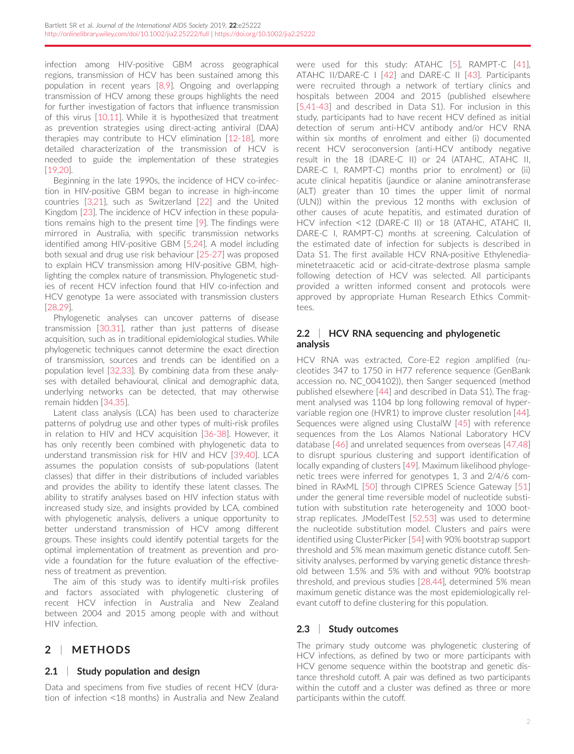infection among HIV-positive GBM across geographical regions, transmission of HCV has been sustained among this population in recent years [[8,9\]](#page-8-0). Ongoing and overlapping transmission of HCV among these groups highlights the need for further investigation of factors that influence transmission of this virus [\[10,11](#page-8-0)]. While it is hypothesized that treatment as prevention strategies using direct-acting antiviral (DAA) therapies may contribute to HCV elimination [[12-18](#page-8-0)], more detailed characterization of the transmission of HCV is needed to guide the implementation of these strategies [\[19,20](#page-8-0)].

Beginning in the late 1990s, the incidence of HCV co-infection in HIV-positive GBM began to increase in high-income countries [\[3,21](#page-8-0)], such as Switzerland [[22](#page-8-0)] and the United Kingdom [\[23](#page-8-0)]. The incidence of HCV infection in these populations remains high to the present time [\[9](#page-8-0)]. The findings were mirrored in Australia, with specific transmission networks identified among HIV-positive GBM [\[5,24\]](#page-8-0). A model including both sexual and drug use risk behaviour [[25-27](#page-8-0)] was proposed to explain HCV transmission among HIV-positive GBM, highlighting the complex nature of transmission. Phylogenetic studies of recent HCV infection found that HIV co-infection and HCV genotype 1a were associated with transmission clusters [\[28,29](#page-8-0)].

Phylogenetic analyses can uncover patterns of disease transmission [\[30,31](#page-8-0)], rather than just patterns of disease acquisition, such as in traditional epidemiological studies. While phylogenetic techniques cannot determine the exact direction of transmission, sources and trends can be identified on a population level [\[32,33](#page-8-0)]. By combining data from these analyses with detailed behavioural, clinical and demographic data, underlying networks can be detected, that may otherwise remain hidden [\[34,35](#page-8-0)].

Latent class analysis (LCA) has been used to characterize patterns of polydrug use and other types of multi-risk profiles in relation to HIV and HCV acquisition [[36-38\]](#page-8-0). However, it has only recently been combined with phylogenetic data to understand transmission risk for HIV and HCV [\[39,40\]](#page-8-0). LCA assumes the population consists of sub-populations (latent classes) that differ in their distributions of included variables and provides the ability to identify these latent classes. The ability to stratify analyses based on HIV infection status with increased study size, and insights provided by LCA, combined with phylogenetic analysis, delivers a unique opportunity to better understand transmission of HCV among different groups. These insights could identify potential targets for the optimal implementation of treatment as prevention and provide a foundation for the future evaluation of the effectiveness of treatment as prevention.

The aim of this study was to identify multi-risk profiles and factors associated with phylogenetic clustering of recent HCV infection in Australia and New Zealand between 2004 and 2015 among people with and without HIV infection.

# 2 | METHODS

### 2.1 Study population and design

Data and specimens from five studies of recent HCV (duration of infection <18 months) in Australia and New Zealand were used for this study: ATAHC [\[5\]](#page-8-0), RAMPT-C [[41](#page-9-0)], ATAHC II/DARE-C I [\[42\]](#page-9-0) and DARE-C II [[43](#page-9-0)]. Participants were recruited through a network of tertiary clinics and hospitals between 2004 and 2015 (published elsewhere [\[5,41-43](#page-8-0)] and described in Data S1). For inclusion in this study, participants had to have recent HCV defined as initial detection of serum anti-HCV antibody and/or HCV RNA within six months of enrolment and either (i) documented recent HCV seroconversion (anti-HCV antibody negative result in the 18 (DARE-C II) or 24 (ATAHC, ATAHC II, DARE-C I, RAMPT-C) months prior to enrolment) or (ii) acute clinical hepatitis (jaundice or alanine aminotransferase (ALT) greater than 10 times the upper limit of normal (ULN)) within the previous 12 months with exclusion of other causes of acute hepatitis, and estimated duration of HCV infection <12 (DARE-C II) or 18 (ATAHC, ATAHC II, DARE-C I, RAMPT-C) months at screening. Calculation of the estimated date of infection for subjects is described in Data S1. The first available HCV RNA-positive Ethylenediaminetetraacetic acid or acid-citrate-dextrose plasma sample following detection of HCV was selected. All participants provided a written informed consent and protocols were approved by appropriate Human Research Ethics Committees.

### 2.2 | HCV RNA sequencing and phylogenetic analysis

HCV RNA was extracted, Core-E2 region amplified (nucleotides 347 to 1750 in H77 reference sequence (GenBank accession no. [NC\\_004102](http://www.ncbi.nlm.nih.gov/nuccore/NC_004102))), then Sanger sequenced (method published elsewhere [[44](#page-9-0)] and described in Data S1). The fragment analysed was 1104 bp long following removal of hypervariable region one (HVR1) to improve cluster resolution [[44](#page-9-0)]. Sequences were aligned using ClustalW [[45](#page-9-0)] with reference sequences from the Los Alamos National Laboratory HCV database [[46](#page-9-0)] and unrelated sequences from overseas [\[47,48\]](#page-9-0) to disrupt spurious clustering and support identification of locally expanding of clusters [[49](#page-9-0)]. Maximum likelihood phylogenetic trees were inferred for genotypes 1, 3 and 2/4/6 combined in RAxML [[50](#page-9-0)] through CIPRES Science Gateway [\[51\]](#page-9-0) under the general time reversible model of nucleotide substitution with substitution rate heterogeneity and 1000 bootstrap replicates. JModelTest [[52,53](#page-9-0)] was used to determine the nucleotide substitution model. Clusters and pairs were identified using ClusterPicker [[54](#page-9-0)] with 90% bootstrap support threshold and 5% mean maximum genetic distance cutoff. Sensitivity analyses, performed by varying genetic distance threshold between 1.5% and 5% with and without 90% bootstrap threshold, and previous studies [\[28,44\]](#page-8-0), determined 5% mean maximum genetic distance was the most epidemiologically relevant cutoff to define clustering for this population.

### 2.3 | Study outcomes

The primary study outcome was phylogenetic clustering of HCV infections, as defined by two or more participants with HCV genome sequence within the bootstrap and genetic distance threshold cutoff. A pair was defined as two participants within the cutoff and a cluster was defined as three or more participants within the cutoff.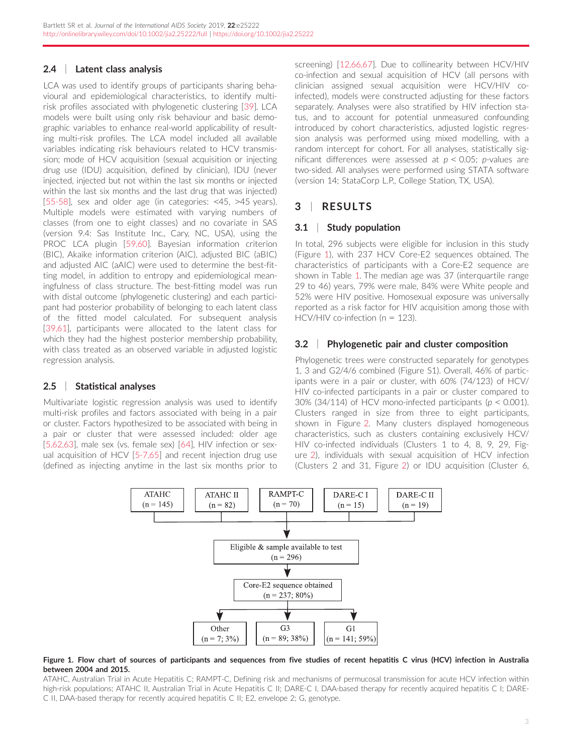### 2.4 | Latent class analysis

LCA was used to identify groups of participants sharing behavioural and epidemiological characteristics, to identify multirisk profiles associated with phylogenetic clustering [\[39](#page-8-0)]. LCA models were built using only risk behaviour and basic demographic variables to enhance real-world applicability of resulting multi-risk profiles. The LCA model included all available variables indicating risk behaviours related to HCV transmission; mode of HCV acquisition (sexual acquisition or injecting drug use (IDU) acquisition, defined by clinician), IDU (never injected, injected but not within the last six months or injected within the last six months and the last drug that was injected) [\[55-58\]](#page-9-0), sex and older age (in categories: <45, >45 years). Multiple models were estimated with varying numbers of classes (from one to eight classes) and no covariate in SAS (version 9.4: Sas Institute Inc., Cary, NC, USA), using the PROC LCA plugin [[59,60\]](#page-9-0). Bayesian information criterion (BIC), Akaike information criterion (AIC), adjusted BIC (aBIC) and adjusted AIC (aAIC) were used to determine the best-fitting model, in addition to entropy and epidemiological meaningfulness of class structure. The best-fitting model was run with distal outcome (phylogenetic clustering) and each participant had posterior probability of belonging to each latent class of the fitted model calculated. For subsequent analysis [\[39,61\]](#page-8-0), participants were allocated to the latent class for which they had the highest posterior membership probability, with class treated as an observed variable in adjusted logistic regression analysis.

### 2.5 | Statistical analyses

Multivariate logistic regression analysis was used to identify multi-risk profiles and factors associated with being in a pair or cluster. Factors hypothesized to be associated with being in a pair or cluster that were assessed included: older age [\[5,62,63](#page-8-0)], male sex (vs. female sex) [\[64\]](#page-9-0), HIV infection or sexual acquisition of HCV [[5-7,65](#page-8-0)] and recent injection drug use (defined as injecting anytime in the last six months prior to screening) [\[12,66,67](#page-8-0)]. Due to collinearity between HCV/HIV co-infection and sexual acquisition of HCV (all persons with clinician assigned sexual acquisition were HCV/HIV coinfected), models were constructed adjusting for these factors separately. Analyses were also stratified by HIV infection status, and to account for potential unmeasured confounding introduced by cohort characteristics, adjusted logistic regression analysis was performed using mixed modelling, with a random intercept for cohort. For all analyses, statistically significant differences were assessed at  $p < 0.05$ ; p-values are two-sided. All analyses were performed using STATA software (version 14; StataCorp L.P., College Station, TX, USA).

# 3 | RESULTS

### 3.1 | Study population

In total, 296 subjects were eligible for inclusion in this study (Figure 1), with 237 HCV Core-E2 sequences obtained. The characteristics of participants with a Core-E2 sequence are shown in Table [1](#page-3-0). The median age was 37 (interquartile range 29 to 46) years, 79% were male, 84% were White people and 52% were HIV positive. Homosexual exposure was universally reported as a risk factor for HIV acquisition among those with HCV/HIV co-infection (n = 123).

### 3.2 | Phylogenetic pair and cluster composition

Phylogenetic trees were constructed separately for genotypes 1, 3 and G2/4/6 combined (Figure S1). Overall, 46% of participants were in a pair or cluster, with 60% (74/123) of HCV/ HIV co-infected participants in a pair or cluster compared to 30% (34/114) of HCV mono-infected participants ( $p < 0.001$ ). Clusters ranged in size from three to eight participants, shown in Figure 2. Many clusters displayed homogeneous characteristics, such as clusters containing exclusively HCV/ HIV co-infected individuals (Clusters 1 to 4, 8, 9, 29, Figure 2), individuals with sexual acquisition of HCV infection (Clusters 2 and 31, Figure 2) or IDU acquisition (Cluster 6,



#### Figure 1. Flow chart of sources of participants and sequences from five studies of recent hepatitis C virus (HCV) infection in Australia between 2004 and 2015.

ATAHC, Australian Trial in Acute Hepatitis C; RAMPT-C, Defining risk and mechanisms of permucosal transmission for acute HCV infection within high-risk populations; ATAHC II, Australian Trial in Acute Hepatitis C II; DARE-C I, DAA-based therapy for recently acquired hepatitis C I; DARE-C II, DAA-based therapy for recently acquired hepatitis C II; E2, envelope 2; G, genotype.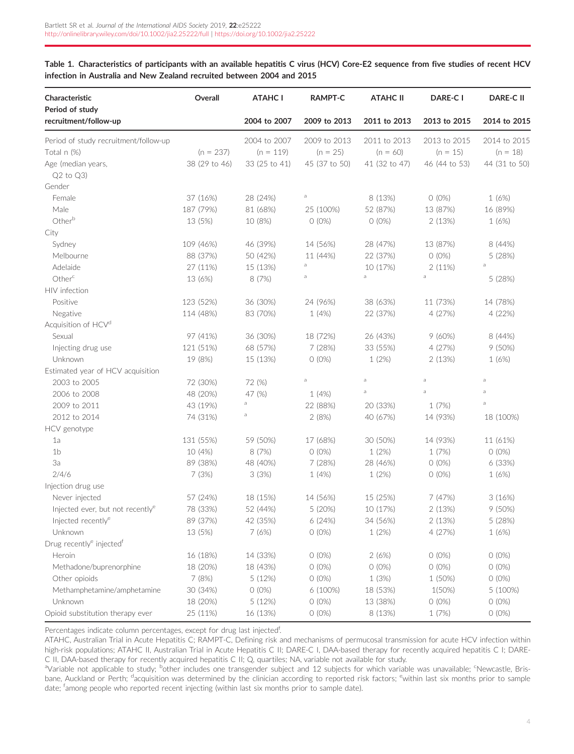<span id="page-3-0"></span>Table 1. Characteristics of participants with an available hepatitis C virus (HCV) Core-E2 sequence from five studies of recent HCV infection in Australia and New Zealand recruited between 2004 and 2015

| Characteristic<br>Period of study                | Overall       | <b>ATAHC I</b> | <b>RAMPT-C</b> | <b>ATAHC II</b> | DARE-C I       | <b>DARE-CII</b> |
|--------------------------------------------------|---------------|----------------|----------------|-----------------|----------------|-----------------|
| recruitment/follow-up                            |               | 2004 to 2007   | 2009 to 2013   | 2011 to 2013    | 2013 to 2015   | 2014 to 2015    |
| Period of study recruitment/follow-up            |               | 2004 to 2007   | 2009 to 2013   | 2011 to 2013    | 2013 to 2015   | 2014 to 2015    |
| Total n (%)                                      | $(n = 237)$   | $(n = 119)$    | $(n = 25)$     | $(n = 60)$      | $(n = 15)$     | $(n = 18)$      |
| Age (median years,                               | 38 (29 to 46) | 33 (25 to 41)  | 45 (37 to 50)  | 41 (32 to 47)   | 46 (44 to 53)  | 44 (31 to 50)   |
| $Q2$ to $Q3$ )                                   |               |                |                |                 |                |                 |
| Gender                                           |               |                |                |                 |                |                 |
| Female                                           | 37 (16%)      | 28 (24%)       | $\rm{a}$       | 8 (13%)         | $O(0\%)$       | 1(6%)           |
| Male                                             | 187 (79%)     | 81 (68%)       | 25 (100%)      | 52 (87%)        | 13 (87%)       | 16 (89%)        |
| Otherb                                           | 13 (5%)       | 10 (8%)        | $O(0\%)$       | $O(0\%)$        | 2(13%)         | 1(6%)           |
| City                                             |               |                |                |                 |                |                 |
| Sydney                                           | 109 (46%)     | 46 (39%)       | 14 (56%)       | 28 (47%)        | 13 (87%)       | 8 (44%)         |
| Melbourne                                        | 88 (37%)      | 50 (42%)       | 11 (44%)       | 22 (37%)        | $O(0\%)$       | 5 (28%)         |
| Adelaide                                         | 27 (11%)      | 15 (13%)       | а              | 10 (17%)        | 2(11%)         | $\rm{a}$        |
| Other <sup>c</sup>                               | 13 (6%)       | 8 (7%)         | а              | a               | a              | 5 (28%)         |
| HIV infection                                    |               |                |                |                 |                |                 |
| Positive                                         | 123 (52%)     | 36 (30%)       | 24 (96%)       | 38 (63%)        | 11 (73%)       | 14 (78%)        |
| Negative                                         | 114 (48%)     | 83 (70%)       | 1(4%)          | 22 (37%)        | 4 (27%)        | 4(22%)          |
| Acquisition of HCV <sup>d</sup>                  |               |                |                |                 |                |                 |
| Sexual                                           | 97 (41%)      | 36 (30%)       | 18 (72%)       | 26 (43%)        | 9(60%)         | 8 (44%)         |
| Injecting drug use                               | 121 (51%)     | 68 (57%)       | 7 (28%)        | 33 (55%)        | 4 (27%)        | 9(50%)          |
| Unknown                                          | 19 (8%)       | 15 (13%)       | $O(0\%)$       | 1(2%)           | 2(13%)         | 1(6%)           |
| Estimated year of HCV acquisition                |               |                |                |                 |                |                 |
| 2003 to 2005                                     | 72 (30%)      | 72 (%)         | $\rm{a}$       | a               | $\overline{a}$ | $\mathsf{a}$    |
| 2006 to 2008                                     | 48 (20%)      | 47 (%)         | 1(4%)          | $\mathsf a$     | $\mathsf a$    | $\mathsf a$     |
| 2009 to 2011                                     | 43 (19%)      | $\rm{a}$       | 22 (88%)       | 20 (33%)        | 1 (7%)         | $\rm{a}$        |
| 2012 to 2014                                     | 74 (31%)      | a              | 2(8%)          | 40 (67%)        | 14 (93%)       | 18 (100%)       |
| HCV genotype                                     |               |                |                |                 |                |                 |
| 1a                                               | 131 (55%)     | 59 (50%)       | 17 (68%)       | 30 (50%)        | 14 (93%)       | 11 (61%)        |
| 1 <sub>b</sub>                                   | 10 (4%)       | 8 (7%)         | $O(0\%)$       | 1(2%)           | 1 (7%)         | $O(0\%)$        |
| За                                               | 89 (38%)      | 48 (40%)       | 7(28%)         | 28 (46%)        | $O(0\%)$       | 6 (33%)         |
| 2/4/6                                            | 7(3%)         | 3(3%)          | 1(4%)          | 1(2%)           | $O(0\%)$       | 1(6%)           |
| Injection drug use                               |               |                |                |                 |                |                 |
| Never injected                                   | 57 (24%)      | 18 (15%)       | 14 (56%)       | 15 (25%)        | 7(47%)         | 3(16%)          |
| Injected ever, but not recently <sup>e</sup>     | 78 (33%)      | 52 (44%)       | 5 (20%)        | 10 (17%)        | 2(13%)         | 9(50%)          |
| Injected recently <sup>e</sup>                   | 89 (37%)      | 42 (35%)       | 6(24%)         | 34 (56%)        | 2(13%)         | 5 (28%)         |
| Unknown                                          | 13 (5%)       | 7(6%)          | $O(0\%)$       | 1(2%)           | 4 (27%)        | 1(6%)           |
| Drug recently <sup>e</sup> injected <sup>†</sup> |               |                |                |                 |                |                 |
| Heroin                                           | 16 (18%)      | 14 (33%)       | $O(0\%)$       | 2(6%)           | $O(0\%)$       | $O(0\%)$        |
| Methadone/buprenorphine                          | 18 (20%)      | 18 (43%)       | $O(0\%)$       | $O(0\%)$        | $O(0\%)$       | O (0%)          |
| Other opioids                                    | 7 (8%)        | 5(12%)         | $O(0\%)$       | 1 (3%)          | 1 (50%)        | $O(0\%)$        |
| Methamphetamine/amphetamine                      | 30 (34%)      | $O(0\%)$       | $6(100\%)$     | 18 (53%)        | 1(50%)         | 5 (100%)        |
| Unknown                                          | 18 (20%)      | 5 (12%)        | $O(0\%)$       | 13 (38%)        | $O(0\%)$       | $0(0\%)$        |
| Opioid substitution therapy ever                 | 25 (11%)      | 16 (13%)       | $O(0\%)$       | 8 (13%)         | 1 (7%)         | $O(0\%)$        |

Percentages indicate column percentages, except for drug last injected<sup>f</sup>. .

ATAHC, Australian Trial in Acute Hepatitis C; RAMPT-C, Defining risk and mechanisms of permucosal transmission for acute HCV infection within high-risk populations; ATAHC II, Australian Trial in Acute Hepatitis C II; DARE-C I, DAA-based therapy for recently acquired hepatitis C I; DARE-C II, DAA-based therapy for recently acquired hepatitis C II; Q, quartiles; NA, variable not available for study.

aVariable not applicable to study; <sup>b</sup>other includes one transgender subject and 12 subjects for which variable was unavailable; <sup>c</sup>Newcastle, Brisbane, Auckland or Perth; <sup>d</sup>acquisition was determined by the clinician according to reported risk factors; <sup>e</sup>within last six months prior to sample date; <sup>f</sup>among people who reported recent injecting (within last six months prior to sample date).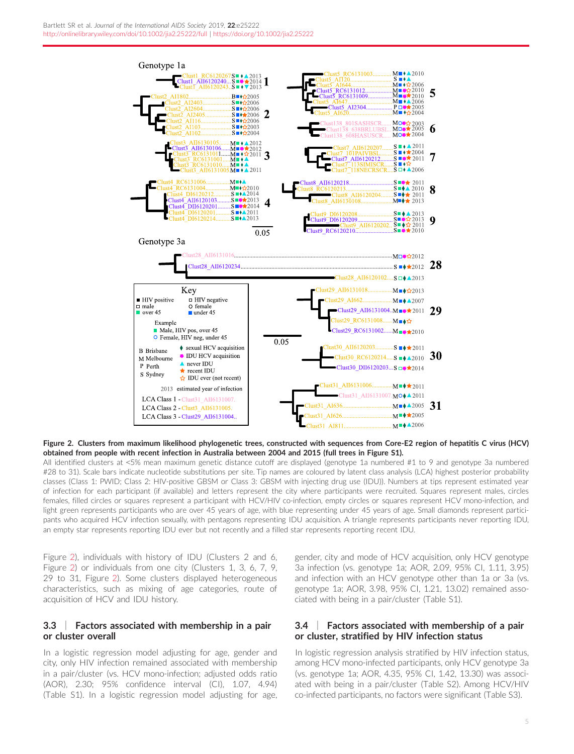

Figure 2. Clusters from maximum likelihood phylogenetic trees, constructed with sequences from Core-E2 region of hepatitis C virus (HCV) obtained from people with recent infection in Australia between 2004 and 2015 (full trees in Figure S1).

All identified clusters at <5% mean maximum genetic distance cutoff are displayed (genotype 1a numbered #1 to 9 and genotype 3a numbered #28 to 31). Scale bars indicate nucleotide substitutions per site. Tip names are coloured by latent class analysis (LCA) highest posterior probability classes (Class 1: PWID; Class 2: HIV-positive GBSM or Class 3: GBSM with injecting drug use (IDU)). Numbers at tips represent estimated year of infection for each participant (if available) and letters represent the city where participants were recruited. Squares represent males, circles females, filled circles or squares represent a participant with HCV/HIV co-infection, empty circles or squares represent HCV mono-infection, and light green represents participants who are over 45 years of age, with blue representing under 45 years of age. Small diamonds represent participants who acquired HCV infection sexually, with pentagons representing IDU acquisition. A triangle represents participants never reporting IDU, an empty star represents reporting IDU ever but not recently and a filled star represents reporting recent IDU.

Figure 2), individuals with history of IDU (Clusters 2 and 6, Figure 2) or individuals from one city (Clusters 1, 3, 6, 7, 9, 29 to 31, Figure 2). Some clusters displayed heterogeneous characteristics, such as mixing of age categories, route of acquisition of HCV and IDU history.

### 3.3 | Factors associated with membership in a pair or cluster overall

In a logistic regression model adjusting for age, gender and city, only HIV infection remained associated with membership in a pair/cluster (vs. HCV mono-infection; adjusted odds ratio (AOR), 2.30; 95% confidence interval (CI), 1.07, 4.94) (Table S1). In a logistic regression model adjusting for age, gender, city and mode of HCV acquisition, only HCV genotype 3a infection (vs. genotype 1a; AOR, 2.09, 95% CI, 1.11, 3.95) and infection with an HCV genotype other than 1a or 3a (vs. genotype 1a; AOR, 3.98, 95% CI, 1.21, 13.02) remained associated with being in a pair/cluster (Table S1).

### 3.4 | Factors associated with membership of a pair or cluster, stratified by HIV infection status

In logistic regression analysis stratified by HIV infection status, among HCV mono-infected participants, only HCV genotype 3a (vs. genotype 1a; AOR, 4.35, 95% CI, 1.42, 13.30) was associated with being in a pair/cluster (Table S2). Among HCV/HIV co-infected participants, no factors were significant (Table S3).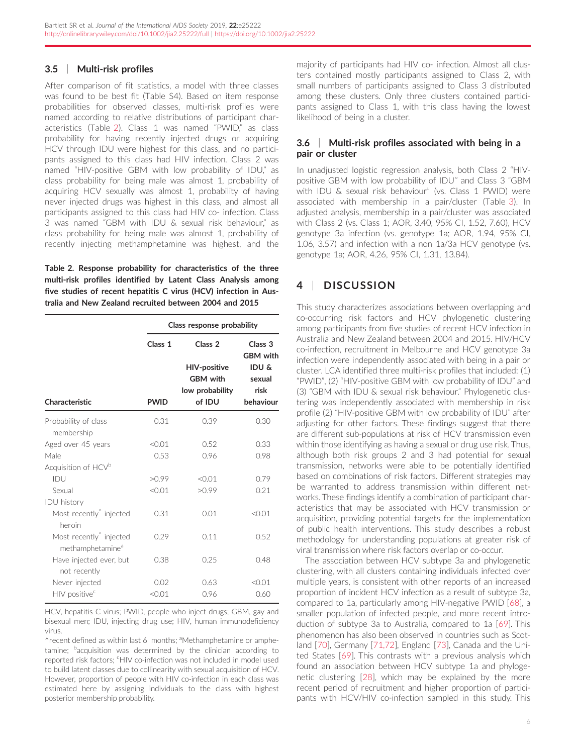#### 3.5 | Multi-risk profiles

After comparison of fit statistics, a model with three classes was found to be best fit (Table S4). Based on item response probabilities for observed classes, multi-risk profiles were named according to relative distributions of participant characteristics (Table 2). Class 1 was named "PWID," as class probability for having recently injected drugs or acquiring HCV through IDU were highest for this class, and no participants assigned to this class had HIV infection. Class 2 was named "HIV-positive GBM with low probability of IDU," as class probability for being male was almost 1, probability of acquiring HCV sexually was almost 1, probability of having never injected drugs was highest in this class, and almost all participants assigned to this class had HIV co- infection. Class 3 was named "GBM with IDU & sexual risk behaviour," as class probability for being male was almost 1, probability of recently injecting methamphetamine was highest, and the

Table 2. Response probability for characteristics of the three multi-risk profiles identified by Latent Class Analysis among five studies of recent hepatitis C virus (HCV) infection in Australia and New Zealand recruited between 2004 and 2015

|                                                                     |             | Class response probability                                          |                                                 |  |  |  |  |  |
|---------------------------------------------------------------------|-------------|---------------------------------------------------------------------|-------------------------------------------------|--|--|--|--|--|
|                                                                     | Class 1     | Class <sub>2</sub>                                                  | Class <sub>3</sub><br><b>GBM</b> with           |  |  |  |  |  |
| Characteristic                                                      | <b>PWID</b> | <b>HIV-positive</b><br><b>GBM</b> with<br>low probability<br>of IDU | <b>IDU &amp;</b><br>sexual<br>risk<br>behaviour |  |  |  |  |  |
| Probability of class<br>membership                                  | 0.31        | 0.39                                                                | 0.30                                            |  |  |  |  |  |
| Aged over 45 years                                                  | < 0.01      | 0.52                                                                | 0.33                                            |  |  |  |  |  |
| Male                                                                | 0.53        | 0.96                                                                | 0.98                                            |  |  |  |  |  |
| Acquisition of HCV <sup>b</sup>                                     |             |                                                                     |                                                 |  |  |  |  |  |
| IDU                                                                 | >0.99       | < 0.01                                                              | 0.79                                            |  |  |  |  |  |
| Sexual                                                              | < 0.01      | >0.99                                                               | 0.21                                            |  |  |  |  |  |
| <b>IDU</b> history                                                  |             |                                                                     |                                                 |  |  |  |  |  |
| Most recently <sup>^</sup> injected<br>heroin                       | 0.31        | 0.01                                                                | < 0.01                                          |  |  |  |  |  |
| Most recently <sup>^</sup> injected<br>methamphetamine <sup>a</sup> | 0.29        | 0.11                                                                | 0.52                                            |  |  |  |  |  |
| Have injected ever, but<br>not recently                             | 0.38        | 0.25                                                                | 0.48                                            |  |  |  |  |  |
| Never injected                                                      | 0.02        | 0.63                                                                | < 0.01                                          |  |  |  |  |  |
| HIV positive <sup>c</sup>                                           | < 0.01      | 0.96                                                                | 0.60                                            |  |  |  |  |  |

HCV, hepatitis C virus; PWID, people who inject drugs; GBM, gay and bisexual men; IDU, injecting drug use; HIV, human immunodeficiency virus.

^recent defined as within last 6 months; <sup>a</sup>Methamphetamine or amphetamine; <sup>b</sup>acquisition was determined by the clinician according to reported risk factors; 'HIV co-infection was not included in model used to build latent classes due to collinearity with sexual acquisition of HCV. However, proportion of people with HIV co-infection in each class was estimated here by assigning individuals to the class with highest posterior membership probability.

majority of participants had HIV co- infection. Almost all clusters contained mostly participants assigned to Class 2, with small numbers of participants assigned to Class 3 distributed among these clusters. Only three clusters contained participants assigned to Class 1, with this class having the lowest likelihood of being in a cluster.

### 3.6 | Multi-risk profiles associated with being in a pair or cluster

In unadjusted logistic regression analysis, both Class 2 "HIVpositive GBM with low probability of IDU'' and Class 3 "GBM with IDU & sexual risk behaviour" (vs. Class 1 PWID) were associated with membership in a pair/cluster (Table [3\)](#page-6-0). In adjusted analysis, membership in a pair/cluster was associated with Class 2 (vs. Class 1; AOR, 3.40, 95% CI, 1.52, 7.60), HCV genotype 3a infection (vs. genotype 1a; AOR, 1.94, 95% CI, 1.06, 3.57) and infection with a non 1a/3a HCV genotype (vs. genotype 1a; AOR, 4.26, 95% CI, 1.31, 13.84).

# 4 | DISCUSSION

This study characterizes associations between overlapping and co-occurring risk factors and HCV phylogenetic clustering among participants from five studies of recent HCV infection in Australia and New Zealand between 2004 and 2015. HIV/HCV co-infection, recruitment in Melbourne and HCV genotype 3a infection were independently associated with being in a pair or cluster. LCA identified three multi-risk profiles that included: (1) "PWID", (2) "HIV-positive GBM with low probability of IDU" and (3) "GBM with IDU & sexual risk behaviour." Phylogenetic clustering was independently associated with membership in risk profile (2) "HIV-positive GBM with low probability of IDU" after adjusting for other factors. These findings suggest that there are different sub-populations at risk of HCV transmission even within those identifying as having a sexual or drug use risk. Thus, although both risk groups 2 and 3 had potential for sexual transmission, networks were able to be potentially identified based on combinations of risk factors. Different strategies may be warranted to address transmission within different networks. These findings identify a combination of participant characteristics that may be associated with HCV transmission or acquisition, providing potential targets for the implementation of public health interventions. This study describes a robust methodology for understanding populations at greater risk of viral transmission where risk factors overlap or co-occur.

The association between HCV subtype 3a and phylogenetic clustering, with all clusters containing individuals infected over multiple years, is consistent with other reports of an increased proportion of incident HCV infection as a result of subtype 3a, compared to 1a, particularly among HIV-negative PWID [[68](#page-9-0)], a smaller population of infected people, and more recent introduction of subtype 3a to Australia, compared to 1a [\[69](#page-9-0)]. This phenomenon has also been observed in countries such as Scotland [\[70\]](#page-9-0), Germany [\[71,72](#page-9-0)], England [[73](#page-9-0)], Canada and the United States [\[69](#page-9-0)]. This contrasts with a previous analysis which found an association between HCV subtype 1a and phylogenetic clustering [\[28](#page-8-0)], which may be explained by the more recent period of recruitment and higher proportion of participants with HCV/HIV co-infection sampled in this study. This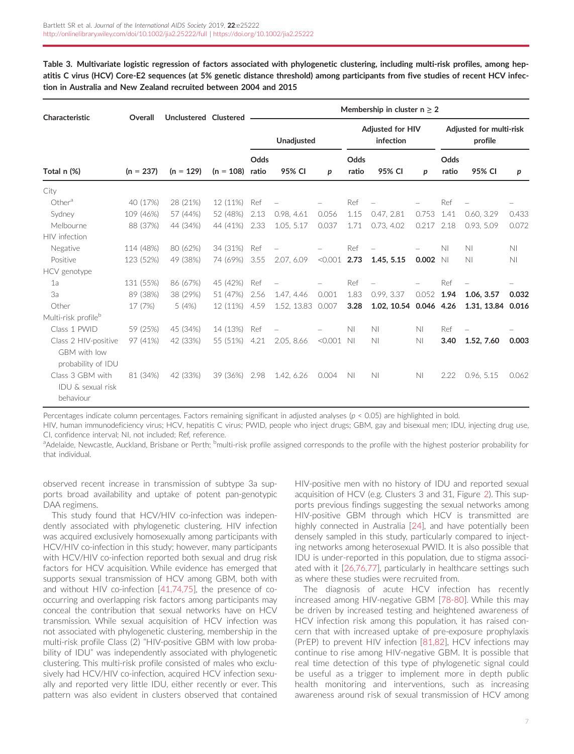<span id="page-6-0"></span>Table 3. Multivariate logistic regression of factors associated with phylogenetic clustering, including multi-risk profiles, among hepatitis C virus (HCV) Core-E2 sequences (at 5% genetic distance threshold) among participants from five studies of recent HCV infection in Australia and New Zealand recruited between 2004 and 2015

| Characteristic                                             | Overall     | Unclustered Clustered |             | Membership in cluster $n \geq 2$ |             |         |                                      |                        |       |                                    |                |                |
|------------------------------------------------------------|-------------|-----------------------|-------------|----------------------------------|-------------|---------|--------------------------------------|------------------------|-------|------------------------------------|----------------|----------------|
|                                                            |             |                       |             | <b>Unadjusted</b>                |             |         | <b>Adjusted for HIV</b><br>infection |                        |       | Adjusted for multi-risk<br>profile |                |                |
| Total n (%)                                                | $(n = 237)$ | $(n = 129)$           | $(n = 108)$ | Odds<br>ratio                    | 95% CI      | p       | Odds<br>ratio                        | 95% CI                 | p     | Odds<br>ratio                      | 95% CI         | р              |
| City                                                       |             |                       |             |                                  |             |         |                                      |                        |       |                                    |                |                |
| Other <sup>a</sup>                                         | 40 (17%)    | 28 (21%)              | 12 (11%)    | Ref                              |             |         | Ref                                  |                        |       | Ref                                |                |                |
| Sydney                                                     | 109 (46%)   | 57 (44%)              | 52 (48%)    | 2.13                             | 0.98, 4.61  | 0.056   | 1.15                                 | 0.47, 2.81             | 0.753 | 1.41                               | 0.60, 3.29     | 0.433          |
| Melbourne                                                  | 88 (37%)    | 44 (34%)              | 44 (41%)    | 2.33                             | 1.05, 5.17  | 0.037   | 1.71                                 | 0.73, 4.02             | 0.217 | 2.18                               | 0.93, 5.09     | 0.072          |
| HIV infection                                              |             |                       |             |                                  |             |         |                                      |                        |       |                                    |                |                |
| Negative                                                   | 114 (48%)   | 80 (62%)              | 34 (31%)    | Ref                              |             |         | Ref                                  |                        |       | N <sub>1</sub>                     | N <sub>1</sub> | N <sub>1</sub> |
| Positive                                                   | 123 (52%)   | 49 (38%)              | 74 (69%)    | 3.55                             | 2.07, 6.09  | < 0.001 | 2.73                                 | 1.45, 5.15             | 0.002 | N <sub>1</sub>                     | N <sub>1</sub> | N <sub>1</sub> |
| HCV genotype                                               |             |                       |             |                                  |             |         |                                      |                        |       |                                    |                |                |
| 1a                                                         | 131 (55%)   | 86 (67%)              | 45 (42%)    | Ref                              |             |         | Ref                                  |                        |       | Ref                                |                |                |
| За                                                         | 89 (38%)    | 38 (29%)              | 51 (47%)    | 2.56                             | 1.47, 4.46  | 0.001   | 1.83                                 | 0.99, 3.37             | 0.052 | 1.94                               | 1.06, 3.57     | 0.032          |
| Other                                                      | 17 (7%)     | 5(4%)                 | 12 (11%)    | 4.59                             | 1.52, 13.83 | 0.007   | 3.28                                 | 1.02, 10.54 0.046 4.26 |       |                                    | 1.31, 13.84    | 0.016          |
| Multi-risk profile <sup>b</sup>                            |             |                       |             |                                  |             |         |                                      |                        |       |                                    |                |                |
| Class 1 PWID                                               | 59 (25%)    | 45 (34%)              | 14 (13%)    | Ref                              |             |         | N <sub>1</sub>                       | N <sub>1</sub>         | N1    | Ref                                |                |                |
| Class 2 HIV-positive<br>GBM with low<br>probability of IDU | 97 (41%)    | 42 (33%)              | 55 (51%)    | 4.21                             | 2.05, 8.66  | < 0.001 | N <sub>1</sub>                       | N <sub>1</sub>         | N1    | 3.40                               | 1.52, 7.60     | 0.003          |
| Class 3 GBM with<br>IDU & sexual risk<br>behaviour         | 81 (34%)    | 42 (33%)              | 39 (36%)    | 2.98                             | 1.42, 6.26  | 0.004   | N <sub>1</sub>                       | N <sub>1</sub>         | N1    | 2.22                               | 0.96, 5.15     | 0.062          |

Percentages indicate column percentages. Factors remaining significant in adjusted analyses ( $p < 0.05$ ) are highlighted in bold.

HIV, human immunodeficiency virus; HCV, hepatitis C virus; PWID, people who inject drugs; GBM, gay and bisexual men; IDU, injecting drug use, CI, confidence interval; NI, not included; Ref, reference.

<sup>a</sup>Adelaide, Newcastle, Auckland, Brisbane or Perth; <sup>b</sup>multi-risk profile assigned corresponds to the profile with the highest posterior probability for that individual.

observed recent increase in transmission of subtype 3a supports broad availability and uptake of potent pan-genotypic DAA regimens.

This study found that HCV/HIV co-infection was independently associated with phylogenetic clustering. HIV infection was acquired exclusively homosexually among participants with HCV/HIV co-infection in this study; however, many participants with HCV/HIV co-infection reported both sexual and drug risk factors for HCV acquisition. While evidence has emerged that supports sexual transmission of HCV among GBM, both with and without HIV co-infection [\[41,74,75\]](#page-9-0), the presence of cooccurring and overlapping risk factors among participants may conceal the contribution that sexual networks have on HCV transmission. While sexual acquisition of HCV infection was not associated with phylogenetic clustering, membership in the multi-risk profile Class (2) "HIV-positive GBM with low probability of IDU" was independently associated with phylogenetic clustering. This multi-risk profile consisted of males who exclusively had HCV/HIV co-infection, acquired HCV infection sexually and reported very little IDU, either recently or ever. This pattern was also evident in clusters observed that contained

HIV-positive men with no history of IDU and reported sexual acquisition of HCV (e.g. Clusters 3 and 31, Figure 2). This supports previous findings suggesting the sexual networks among HIV-positive GBM through which HCV is transmitted are highly connected in Australia [\[24\]](#page-8-0), and have potentially been densely sampled in this study, particularly compared to injecting networks among heterosexual PWID. It is also possible that IDU is under-reported in this population, due to stigma associated with it [\[26,76,77](#page-8-0)], particularly in healthcare settings such as where these studies were recruited from.

The diagnosis of acute HCV infection has recently increased among HIV-negative GBM [[78-80\]](#page-9-0). While this may be driven by increased testing and heightened awareness of HCV infection risk among this population, it has raised concern that with increased uptake of pre-exposure prophylaxis (PrEP) to prevent HIV infection [[81,82](#page-9-0)], HCV infections may continue to rise among HIV-negative GBM. It is possible that real time detection of this type of phylogenetic signal could be useful as a trigger to implement more in depth public health monitoring and interventions, such as increasing awareness around risk of sexual transmission of HCV among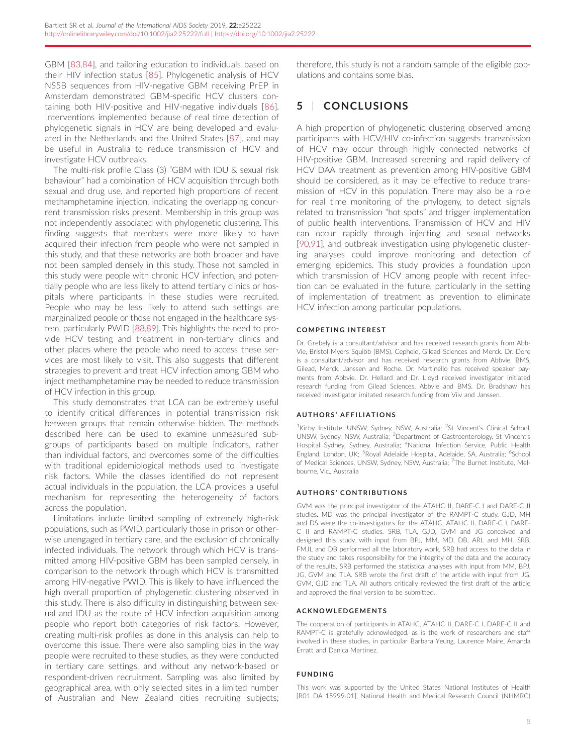GBM [\[83,84\]](#page-9-0), and tailoring education to individuals based on their HIV infection status [\[85\]](#page-9-0). Phylogenetic analysis of HCV NS5B sequences from HIV-negative GBM receiving PrEP in Amsterdam demonstrated GBM-specific HCV clusters containing both HIV-positive and HIV-negative individuals [\[86\]](#page-9-0). Interventions implemented because of real time detection of phylogenetic signals in HCV are being developed and evaluated in the Netherlands and the United States [[87](#page-9-0)], and may be useful in Australia to reduce transmission of HCV and investigate HCV outbreaks.

The multi-risk profile Class (3) "GBM with IDU & sexual risk behaviour" had a combination of HCV acquisition through both sexual and drug use, and reported high proportions of recent methamphetamine injection, indicating the overlapping concurrent transmission risks present. Membership in this group was not independently associated with phylogenetic clustering. This finding suggests that members were more likely to have acquired their infection from people who were not sampled in this study, and that these networks are both broader and have not been sampled densely in this study. Those not sampled in this study were people with chronic HCV infection, and potentially people who are less likely to attend tertiary clinics or hospitals where participants in these studies were recruited. People who may be less likely to attend such settings are marginalized people or those not engaged in the healthcare system, particularly PWID [[88,89](#page-9-0)]. This highlights the need to provide HCV testing and treatment in non-tertiary clinics and other places where the people who need to access these services are most likely to visit. This also suggests that different strategies to prevent and treat HCV infection among GBM who inject methamphetamine may be needed to reduce transmission of HCV infection in this group.

This study demonstrates that LCA can be extremely useful to identify critical differences in potential transmission risk between groups that remain otherwise hidden. The methods described here can be used to examine unmeasured subgroups of participants based on multiple indicators, rather than individual factors, and overcomes some of the difficulties with traditional epidemiological methods used to investigate risk factors. While the classes identified do not represent actual individuals in the population, the LCA provides a useful mechanism for representing the heterogeneity of factors across the population.

Limitations include limited sampling of extremely high-risk populations, such as PWID, particularly those in prison or otherwise unengaged in tertiary care, and the exclusion of chronically infected individuals. The network through which HCV is transmitted among HIV-positive GBM has been sampled densely, in comparison to the network through which HCV is transmitted among HIV-negative PWID. This is likely to have influenced the high overall proportion of phylogenetic clustering observed in this study. There is also difficulty in distinguishing between sexual and IDU as the route of HCV infection acquisition among people who report both categories of risk factors. However, creating multi-risk profiles as done in this analysis can help to overcome this issue. There were also sampling bias in the way people were recruited to these studies, as they were conducted in tertiary care settings, and without any network-based or respondent-driven recruitment. Sampling was also limited by geographical area, with only selected sites in a limited number of Australian and New Zealand cities recruiting subjects; therefore, this study is not a random sample of the eligible populations and contains some bias.

# 5 | CONCLUSIONS

A high proportion of phylogenetic clustering observed among participants with HCV/HIV co-infection suggests transmission of HCV may occur through highly connected networks of HIV-positive GBM. Increased screening and rapid delivery of HCV DAA treatment as prevention among HIV-positive GBM should be considered, as it may be effective to reduce transmission of HCV in this population. There may also be a role for real time monitoring of the phylogeny, to detect signals related to transmission "hot spots" and trigger implementation of public health interventions. Transmission of HCV and HIV can occur rapidly through injecting and sexual networks [\[90,91\]](#page-10-0), and outbreak investigation using phylogenetic clustering analyses could improve monitoring and detection of emerging epidemics. This study provides a foundation upon which transmission of HCV among people with recent infection can be evaluated in the future, particularly in the setting of implementation of treatment as prevention to eliminate HCV infection among particular populations.

#### COMPETING INTEREST

Dr. Grebely is a consultant/advisor and has received research grants from Abb-Vie, Bristol Myers Squibb (BMS), Cepheid, Gilead Sciences and Merck. Dr. Dore is a consultant/advisor and has received research grants from Abbvie, BMS, Gilead, Merck, Janssen and Roche. Dr. Martinello has received speaker payments from Abbvie. Dr. Hellard and Dr. Lloyd received investigator initiated research funding from Gilead Sciences, Abbvie and BMS. Dr. Bradshaw has received investigator imitated research funding from Viiv and Janssen.

#### **AUTHORS' AFFILIATIONS**

<sup>1</sup>Kirby Institute, UNSW, Sydney, NSW, Australia; <sup>2</sup>St Vincent's Clinical School, UNSW, Sydney, NSW, Australia; <sup>3</sup>Department of Gastroenterology, St Vincent's Hospital Sydney, Sydney, Australia; <sup>4</sup>National Infection Service, Public Health England, London, UK; <sup>5</sup>Royal Adelaide Hospital, Adelaide, SA, Australia; <sup>6</sup>School of Medical Sciences, UNSW, Sydney, NSW, Australia; <sup>7</sup>The Burnet Institute, Melbourne, Vic., Australia

#### **AUTHORS' CONTRIBUTIONS**

GVM was the principal investigator of the ATAHC II, DARE-C I and DARE-C II studies. MD was the principal investigator of the RAMPT-C study. GJD, MH and DS were the co-investigators for the ATAHC, ATAHC II, DARE-C I, DARE-C II and RAMPT-C studies. SRB, TLA, GJD, GVM and JG conceived and designed this study, with input from BPJ, MM, MD, DB, ARL and MH. SRB, FMJL and DB performed all the laboratory work. SRB had access to the data in the study and takes responsibility for the integrity of the data and the accuracy of the results. SRB performed the statistical analyses with input from MM, BPJ, JG, GVM and TLA. SRB wrote the first draft of the article with input from JG, GVM, GJD and TLA. All authors critically reviewed the first draft of the article and approved the final version to be submitted.

#### ACKNOWLEDGEMENTS

The cooperation of participants in ATAHC, ATAHC II, DARE-C I, DARE-C II and RAMPT-C is gratefully acknowledged, as is the work of researchers and staff involved in these studies, in particular Barbara Yeung, Laurence Maire, Amanda Erratt and Danica Martinez.

#### FUNDING

This work was supported by the United States National Institutes of Health [R01 DA 15999-01], National Health and Medical Research Council (NHMRC)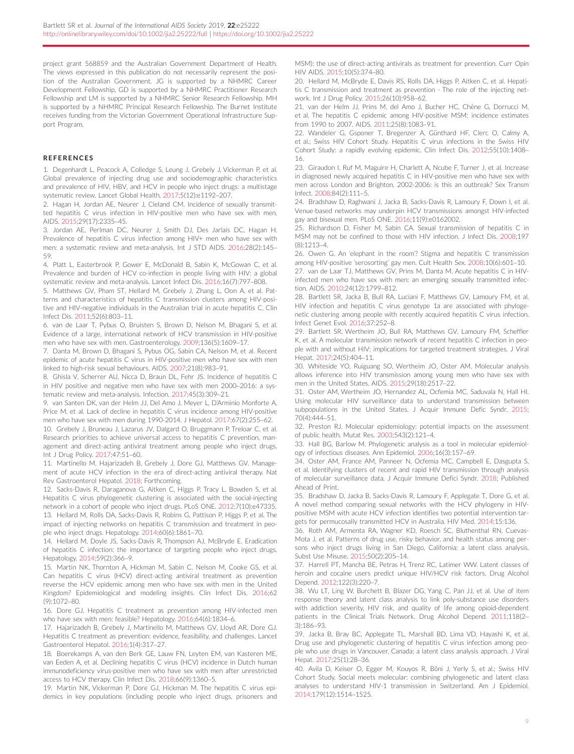<span id="page-8-0"></span>project grant 568859 and the Australian Government Department of Health. The views expressed in this publication do not necessarily represent the position of the Australian Government. JG is supported by a NHMRC Career Development Fellowship, GD is supported by a NHMRC Practitioner Research Fellowship and LM is supported by a NHMRC Senior Research Fellowship. MH is supported by a NHMRC Principal Research Fellowship. The Burnet Institute receives funding from the Victorian Government Operational Infrastructure Support Program.

#### REFERENCES

1. Degenhardt L, Peacock A, Colledge S, Leung J, Grebely J, Vickerman P, et al. Global prevalence of injecting drug use and sociodemographic characteristics and prevalence of HIV, HBV, and HCV in people who inject drugs: a multistage systematic review. Lancet Global Health. 2017;5(12):e1192–207.

2. Hagan H, Jordan AE, Neurer J, Cleland CM. Incidence of sexually transmitted hepatitis C virus infection in HIV-positive men who have sex with men. AIDS. 2015;29(17):2335–45.

3. Jordan AE, Perlman DC, Neurer J, Smith DJ, Des Jarlais DC, Hagan H. Prevalence of hepatitis C virus infection among HIV+ men who have sex with men: a systematic review and meta-analysis. Int J STD AIDS. 2016;28(2):145– 59.

4. Platt L, Easterbrook P, Gower E, McDonald B, Sabin K, McGowan C, et al. Prevalence and burden of HCV co-infection in people living with HIV: a global systematic review and meta-analysis. Lancet Infect Dis. 2016;16(7):797–808.

5. Matthews GV, Pham ST, Hellard M, Grebely J, Zhang L, Oon A, et al. Patterns and characteristics of hepatitis C transmission clusters among HIV-positive and HIV-negative individuals in the Australian trial in acute hepatitis C. Clin Infect Dis. 2011;52(6):803–11.

6. van de Laar T, Pybus O, Bruisten S, Brown D, Nelson M, Bhagani S, et al. Evidence of a large, international network of HCV transmission in HIV-positive men who have sex with men. Gastroenterology. 2009;136(5):1609–17.

7. Danta M, Brown D, Bhagani S, Pybus OG, Sabin CA, Nelson M, et al. Recent epidemic of acute hepatitis C virus in HIV-positive men who have sex with men linked to high-risk sexual behaviours. AIDS. 2007;21(8):983–91.

8. Ghisla V, Scherrer AU, Nicca D, Braun DL, Fehr JS. Incidence of hepatitis C in HIV positive and negative men who have sex with men 2000–2016: a systematic review and meta-analysis. Infection. 2017;45(3):309–21.

9. van Santen DK, van der Helm JJ, Del Amo J, Meyer L, D'Arminio Monforte A, Price M, et al. Lack of decline in hepatitis C virus incidence among HIV-positive men who have sex with men during 1990-2014. J Hepatol. 2017;67(2):255–62.

10. Grebely J, Bruneau J, Lazarus JV, Dalgard O, Bruggmann P, Treloar C, et al. Research priorities to achieve universal access to hepatitis C prevention, management and direct-acting antiviral treatment among people who inject drugs. Int J Drug Policy. 2017;47:51–60.

11. Martinello M, Hajarizadeh B, Grebely J, Dore GJ, Matthews GV. Management of acute HCV infection in the era of direct-acting antiviral therapy. Nat Rev Gastroenterol Hepatol. 2018; Forthcoming.

12. Sacks-Davis R, Daraganova G, Aitken C, Higgs P, Tracy L, Bowden S, et al. Hepatitis C virus phylogenetic clustering is associated with the social-injecting network in a cohort of people who inject drugs. PLoS ONE. 2012;7(10):e47335. 13. Hellard M, Rolls DA, Sacks-Davis R, Robins G, Pattison P, Higgs P, et al. The impact of injecting networks on hepatitis C transmission and treatment in people who inject drugs. Hepatology. 2014;60(6):1861–70.

14. Hellard M, Doyle JS, Sacks-Davis R, Thompson AJ, McBryde E. Eradication of hepatitis C infection: the importance of targeting people who inject drugs. Hepatology. 2014;59(2):366–9.

15. Martin NK, Thornton A, Hickman M, Sabin C, Nelson M, Cooke GS, et al. Can hepatitis C virus (HCV) direct-acting antiviral treatment as prevention reverse the HCV epidemic among men who have sex with men in the United Kingdom? Epidemiological and modeling insights. Clin Infect Dis. 2016;62 (9):1072–80.

16. Dore GJ. Hepatitis C treatment as prevention among HIV-infected men who have sex with men: feasible? Hepatology. 2016;64(6):1834–6.

17. Hajarizadeh B, Grebely J, Martinello M, Matthews GV, Lloyd AR, Dore GJ. Hepatitis C treatment as prevention: evidence, feasibility, and challenges. Lancet Gastroenterol Hepatol. 2016;1(4):317–27.

18. Boerekamps A, van den Berk GE, Lauw FN, Leyten EM, van Kasteren ME, van Eeden A, et al. Declining hepatitis C virus (HCV) incidence in Dutch human immunodeficiency virus-positive men who have sex with men after unrestricted access to HCV therapy. Clin Infect Dis. 2018;66(9):1360–5.

19. Martin NK, Vickerman P, Dore GJ, Hickman M. The hepatitis C virus epidemics in key populations (including people who inject drugs, prisoners and MSM): the use of direct-acting antivirals as treatment for prevention. Curr Opin HIV AIDS. 2015;10(5):374–80.

20. Hellard M, McBryde E, Davis RS, Rolls DA, Higgs P, Aitken C, et al. Hepatitis C transmission and treatment as prevention - The role of the injecting network. Int J Drug Policy. 2015;26(10):958–62.

21. van der Helm JJ, Prins M, del Amo J, Bucher HC, Chêne G, Dorrucci M, et al. The hepatitis C epidemic among HIV-positive MSM: incidence estimates from 1990 to 2007. AIDS. 2011;25(8):1083–91.

22. Wandeler G, Gsponer T, Bregenzer A, Günthard HF, Clerc O, Calmy A, et al.; Swiss HIV Cohort Study. Hepatitis C virus infections in the Swiss HIV Cohort Study: a rapidly evolving epidemic. Clin Infect Dis. 2012;55(10):1408– 16.

23. Giraudon I, Ruf M, Maguire H, Charlett A, Ncube F, Turner J, et al. Increase in diagnosed newly acquired hepatitis C in HIV-positive men who have sex with men across London and Brighton, 2002-2006: is this an outbreak? Sex Transm Infect. 2008;84(2):111–5.

24. Bradshaw D, Raghwani J, Jacka B, Sacks-Davis R, Lamoury F, Down I, et al. Venue-based networks may underpin HCV transmissions amongst HIV-infected gay and bisexual men. PLoS ONE. 2016;11(9):e0162002.

25. Richardson D, Fisher M, Sabin CA. Sexual transmission of hepatitis C in MSM may not be confined to those with HIV infection. J Infect Dis. 2008;197 (8):1213–4.

26. Owen G. An 'elephant in the room'? Stigma and hepatitis C transmission among HIV-positive 'serosorting' gay men. Cult Health Sex. 2008;10(6):601–10. 27. van de Laar TJ, Matthews GV, Prins M, Danta M. Acute hepatitis C in HIVinfected men who have sex with men: an emerging sexually transmitted infection. AIDS. 2010;24(12):1799–812.

28. Bartlett SR, Jacka B, Bull RA, Luciani F, Matthews GV, Lamoury FM, et al. HIV infection and hepatitis C virus genotype 1a are associated with phylogenetic clustering among people with recently acquired hepatitis C virus infection. Infect Genet Evol. 2016;37:252–8.

29. Bartlett SR, Wertheim JO, Bull RA, Matthews GV, Lamoury FM, Scheffler K, et al. A molecular transmission network of recent hepatitis C infection in people with and without HIV: implications for targeted treatment strategies. J Viral Hepat. 2017;24(5):404–11.

30. Whiteside YO, Ruiguang SO, Wertheim JO, Oster AM. Molecular analysis allows inference into HIV transmission among young men who have sex with men in the United States. AIDS. 2015;29(18):2517–22.

31. Oster AM, Wertheim JO, Hernandez AL, Ocfemia MC, Saduvala N, Hall HI. Using molecular HIV surveillance data to understand transmission between subpopulations in the United States. J Acquir Immune Defic Syndr. 2015; 70(4):444–51.

32. Preston RJ. Molecular epidemiology: potential impacts on the assessment of public health. Mutat Res. 2003;543(2):121–4.

33. Hall BG, Barlow M. Phylogenetic analysis as a tool in molecular epidemiology of infectious diseases. Ann Epidemiol. 2006;16(3):157–69.

34. Oster AM, France AM, Panneer N, Ocfemia MC, Campbell E, Dasgupta S, et al. Identifying clusters of recent and rapid HIV transmission through analysis of molecular surveillance data. J Acquir Immune Defici Syndr. 2018; Published Ahead of Print.

35. Bradshaw D, Jacka B, Sacks-Davis R, Lamoury F, Applegate T, Dore G, et al. A novel method comparing sexual networks with the HCV phylogeny in HIVpositive MSM with acute HCV infection identifies two potential intervention targets for permucosally transmitted HCV in Australia. HIV Med. 2014;15:136.

36. Roth AM, Armenta RA, Wagner KD, Roesch SC, Bluthenthal RN, Cuevas-Mota J, et al. Patterns of drug use, risky behavior, and health status among persons who inject drugs living in San Diego, California: a latent class analysis. Subst Use Misuse. 2015;50(2):205–14.

37. Harrell PT, Mancha BE, Petras H, Trenz RC, Latimer WW. Latent classes of heroin and cocaine users predict unique HIV/HCV risk factors. Drug Alcohol Depend. 2012;122(3):220–7.

38. Wu LT, Ling W, Burchett B, Blazer DG, Yang C, Pan JJ, et al. Use of item response theory and latent class analysis to link poly-substance use disorders with addiction severity, HIV risk, and quality of life among opioid-dependent patients in the Clinical Trials Network. Drug Alcohol Depend. 2011;118(2– 3):186–93.

39. Jacka B, Bray BC, Applegate TL, Marshall BD, Lima VD, Hayashi K, et al. Drug use and phylogenetic clustering of hepatitis C virus infection among people who use drugs in Vancouver, Canada: a latent class analysis approach. J Viral Hepat. 2017;25(1):28–36.

40. Avila D, Keiser O, Egger M, Kouyos R, Böni J, Yerly S, et al.; Swiss HIV Cohort Study. Social meets molecular: combining phylogenetic and latent class analyses to understand HIV-1 transmission in Switzerland. Am J Epidemiol. 2014;179(12):1514–1525.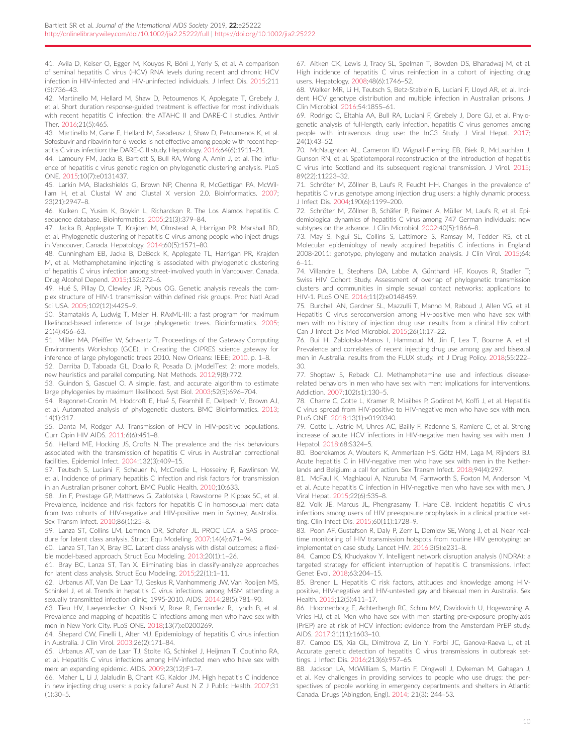<span id="page-9-0"></span>41. Avila D, Keiser O, Egger M, Kouyos R, Böni J, Yerly S, et al. A comparison of seminal hepatitis C virus (HCV) RNA levels during recent and chronic HCV infection in HIV-infected and HIV-uninfected individuals. J Infect Dis. 2015;211 (5):736–43.

42. Martinello M, Hellard M, Shaw D, Petoumenos K, Applegate T, Grebely J, et al. Short duration response-guided treatment is effective for most individuals with recent hepatitis C infection: the ATAHC II and DARE-C I studies. Antivir Ther. 2016;21(5):465.

43. Martinello M, Gane E, Hellard M, Sasadeusz J, Shaw D, Petoumenos K, et al. Sofosbuvir and ribavirin for 6 weeks is not effective among people with recent hepatitis C virus infection: the DARE-C II study. Hepatology. 2016;64(6):1911–21.

44. Lamoury FM, Jacka B, Bartlett S, Bull RA, Wong A, Amin J, et al. The influence of hepatitis c virus genetic region on phylogenetic clustering analysis. PLoS ONE. 2015;10(7):e0131437.

45. Larkin MA, Blackshields G, Brown NP, Chenna R, McGettigan PA, McWilliam H, et al. Clustal W and Clustal X version 2.0. Bioinformatics. 2007; 23(21):2947–8.

46. Kuiken C, Yusim K, Boykin L, Richardson R. The Los Alamos hepatitis C sequence database. Bioinformatics. 2005;21(3):379–84.

47. Jacka B, Applegate T, Krajden M, Olmstead A, Harrigan PR, Marshall BD, et al. Phylogenetic clustering of hepatitis C virus among people who inject drugs in Vancouver, Canada. Hepatology. 2014;60(5):1571–80.

48. Cunningham EB, Jacka B, DeBeck K, Applegate TL, Harrigan PR, Krajden M, et al. Methamphetamine injecting is associated with phylogenetic clustering of hepatitis C virus infection among street-involved youth in Vancouver, Canada. Drug Alcohol Depend. 2015;152:272–6.

49. Hué S, Pillay D, Clewley JP, Pybus OG. Genetic analysis reveals the complex structure of HIV-1 transmission within defined risk groups. Proc Natl Acad Sci USA. 2005;102(12):4425–9.

50. Stamatakis A, Ludwig T, Meier H. RAxML-III: a fast program for maximum likelihood-based inference of large phylogenetic trees. Bioinformatics. 2005; 21(4):456–63.

51. Miller MA, Pfeiffer W, Schwartz T. Proceedings of the Gateway Computing Environments Workshop (GCE). In Creating the CIPRES science gateway for inference of large phylogenetic trees 2010. New Orleans: IEEE; 2010. p. 1–8.

52. Darriba D, Taboada GL, Doallo R, Posada D. jModelTest 2: more models, new heuristics and parallel computing. Nat Methods. 2012;9(8):772.

53. Guindon S, Gascuel O. A simple, fast, and accurate algorithm to estimate large phylogenies by maximum likelihood. Syst Biol. 2003;52(5):696–704.

54. Ragonnet-Cronin M, Hodcroft E, Hué S, Fearnhill E, Delpech V, Brown AJ, et al. Automated analysis of phylogenetic clusters. BMC Bioinformatics. 2013; 14(1):317.

55. Danta M, Rodger AJ. Transmission of HCV in HIV-positive populations. Curr Opin HIV AIDS. 2011;6(6):451–8.

56. Hellard ME, Hocking JS, Crofts N. The prevalence and the risk behaviours associated with the transmission of hepatitis C virus in Australian correctional facilities. Epidemiol Infect. 2004;132(3):409–15.

57. Teutsch S, Luciani F, Scheuer N, McCredie L, Hosseiny P, Rawlinson W, et al. Incidence of primary hepatitis C infection and risk factors for transmission in an Australian prisoner cohort. BMC Public Health. 2010;10:633.

58. Jin F, Prestage GP, Matthews G, Zablotska I, Rawstorne P, Kippax SC, et al. Prevalence, incidence and risk factors for hepatitis C in homosexual men: data from two cohorts of HIV-negative and HIV-positive men in Sydney, Australia.. Sex Transm Infect. 2010;86(1):25–8.

59. Lanza ST, Collins LM, Lemmon DR, Schafer JL. PROC LCA: a SAS procedure for latent class analysis. Struct Equ Modeling. 2007;14(4):671–94.

60. Lanza ST, Tan X, Bray BC. Latent class analysis with distal outcomes: a flexible model-based approach. Struct Equ Modeling. 2013;20(1):1–26.

61. Bray BC, Lanza ST, Tan X. Eliminating bias in classify-analyze approaches for latent class analysis. Struct Equ Modeling. 2015;22(1):1–11.

62. Urbanus AT, Van De Laar TJ, Geskus R, Vanhommerig JW, Van Rooijen MS, Schinkel J, et al. Trends in hepatitis C virus infections among MSM attending a sexually transmitted infection clinic; 1995-2010. AIDS. 2014;28(5):781–90.

63. Tieu HV, Laeyendecker O, Nandi V, Rose R, Fernandez R, Lynch B, et al. Prevalence and mapping of hepatitis C infections among men who have sex with men in New York City. PLoS ONE. 2018;13(7):e0200269.

64. Shepard CW, Finelli L, Alter MJ. Epidemiology of hepatitis C virus infection in Australia. J Clin Virol. 2003;26(2):171–84.

65. Urbanus AT, van de Laar TJ, Stolte IG, Schinkel J, Heijman T, Coutinho RA, et al. Hepatitis C virus infections among HIV-infected men who have sex with men: an expanding epidemic. AIDS. 2009;23(12):F1–7.

66. Maher L, Li J, Jalaludin B, Chant KG, Kaldor JM. High hepatitis C incidence in new injecting drug users: a policy failure? Aust N Z J Public Health. 2007;31 (1):30–5.

67. Aitken CK, Lewis J, Tracy SL, Spelman T, Bowden DS, Bharadwaj M, et al. High incidence of hepatitis C virus reinfection in a cohort of injecting drug users. Hepatology. 2008;48(6):1746–52.

68. Walker MR, Li H, Teutsch S, Betz-Stablein B, Luciani F, Lloyd AR, et al. Incident HCV genotype distribution and multiple infection in Australian prisons. J Clin Microbiol. 2016;54:1855–61.

69. Rodrigo C, Eltahla AA, Bull RA, Luciani F, Grebely J, Dore GJ, et al. Phylogenetic analysis of full-length, early infection, hepatitis C virus genomes among people with intravenous drug use: the InC3 Study. J Viral Hepat. 2017;  $24(1):43-52$ 

70. McNaughton AL, Cameron ID, Wignall-Fleming EB, Biek R, McLauchlan J, Gunson RN, et al. Spatiotemporal reconstruction of the introduction of hepatitis C virus into Scotland and its subsequent regional transmission. J Virol. 2015; 89(22):11223–32.

71. Schröter M, Zöllner B, Laufs R, Feucht HH. Changes in the prevalence of hepatitis C virus genotype among injection drug users: a highly dynamic process. J Infect Dis. 2004;190(6):1199–200.

72. Schröter M, Zöllner B, Schäfer P, Reimer A, Müller M, Laufs R, et al. Epidemiological dynamics of hepatitis C virus among 747 German individuals: new subtypes on the advance. J Clin Microbiol. 2002;40(5):1866-8.

73. May S, Ngui SL, Collins S, Lattimore S, Ramsay M, Tedder RS, et al. Molecular epidemiology of newly acquired hepatitis C infections in England 2008-2011: genotype, phylogeny and mutation analysis. J Clin Virol. 2015;64: 6–11.

74. Villandre L, Stephens DA, Labbe A, Günthard HF, Kouyos R, Stadler T; Swiss HIV Cohort Study. Assessment of overlap of phylogenetic transmission clusters and communities in simple sexual contact networks: applications to HIV-1. PLoS ONE. 2016;11(2):e0148459.

75. Burchell AN, Gardner SL, Mazzulli T, Manno M, Raboud J, Allen VG, et al. Hepatitis C virus seroconversion among Hiv-positive men who have sex with men with no history of injection drug use: results from a clinical Hiv cohort. Can J Infect Dis Med Microbiol. 2015;26(1):17–22.

76. Bui H, Zablotska-Manos I, Hammoud M, Jin F, Lea T, Bourne A, et al. Prevalence and correlates of recent injecting drug use among gay and bisexual men in Australia: results from the FLUX study. Int J Drug Policy. 2018;55:222– 30.

77. Shoptaw S, Reback CJ. Methamphetamine use and infectious diseaserelated behaviors in men who have sex with men: implications for interventions. Addiction. 2007;102(s1):130–5.

78. Charre C, Cotte L, Kramer R, Miailhes P, Godinot M, Koffi J, et al. Hepatitis C virus spread from HIV-positive to HIV-negative men who have sex with men. PLoS ONE. 2018;13(1):e0190340.

79. Cotte L, Astrie M, Uhres AC, Bailly F, Radenne S, Ramiere C, et al. Strong increase of acute HCV infections in HIV-negative men having sex with men. J Hepatol. 2018;68:S324–5.

80. Boerekamps A, Wouters K, Ammerlaan HS, Götz HM, Laga M, Rijnders BJ. Acute hepatitis C in HIV-negative men who have sex with men in the Netherlands and Belgium: a call for action. Sex Transm Infect. 2018;94(4):297.

81. McFaul K, Maghlaoui A, Nzuruba M, Farnworth S, Foxton M, Anderson M, et al. Acute hepatitis C infection in HIV-negative men who have sex with men. J Viral Hepat. 2015;22(6):535–8.

82. Volk JE, Marcus JL, Phengrasamy T, Hare CB. Incident hepatitis C virus infections among users of HIV preexposure prophylaxis in a clinical practice setting. Clin Infect Dis. 2015;60(11):1728–9.

83. Poon AF, Gustafson R, Daly P, Zerr L, Demlow SE, Wong J, et al. Near realtime monitoring of HIV transmission hotspots from routine HIV genotyping: an implementation case study. Lancet HIV. 2016;3(5):e231–8.

84. Campo DS, Khudyakov Y. Intelligent network disruption analysis (INDRA): a targeted strategy for efficient interruption of hepatitis C transmissions. Infect Genet Evol. 2018;63:204–15.

85. Brener L. Hepatitis C risk factors, attitudes and knowledge among HIVpositive, HIV-negative and HIV-untested gay and bisexual men in Australia. Sex Health. 2015;12(5):411–17.

86. Hoornenborg E, Achterbergh RC, Schim MV, Davidovich U, Hogewoning A, Vries HJ, et al. Men who have sex with men starting pre-exposure prophylaxis (PrEP) are at risk of HCV infection: evidence from the Amsterdam PrEP study. AIDS. 2017;31(11):1603–10.

87. Campo DS, Xia GL, Dimitrova Z, Lin Y, Forbi JC, Ganova-Raeva L, et al. Accurate genetic detection of hepatitis C virus transmissions in outbreak settings. J Infect Dis. 2016;213(6):957–65.

88. Jackson LA, McWilliam S, Martin F, Dingwell J, Dykeman M, Gahagan J, et al. Key challenges in providing services to people who use drugs: the perspectives of people working in emergency departments and shelters in Atlantic Canada. Drugs (Abingdon, Engl). 2014; 21(3): 244–53.